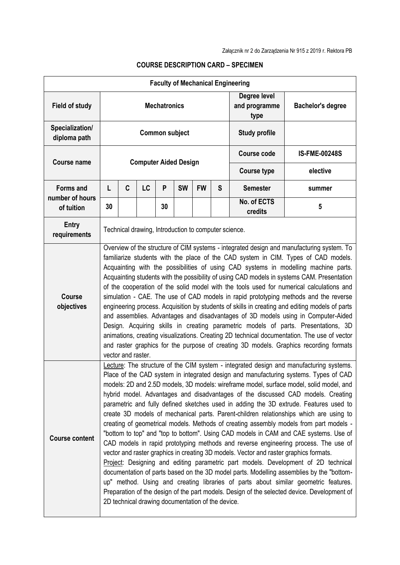|                                                   |                                                                                                                                                                                                                                                                                                                                                                                                                                                                                                                                                                                                                                                                                                                                                                                                                                                                                                                                                                                                                                                                                                                                                                                                                                                                                                                                                  |   |    |    |                              |           |                                       | <b>Faculty of Mechanical Engineering</b> |          |
|---------------------------------------------------|--------------------------------------------------------------------------------------------------------------------------------------------------------------------------------------------------------------------------------------------------------------------------------------------------------------------------------------------------------------------------------------------------------------------------------------------------------------------------------------------------------------------------------------------------------------------------------------------------------------------------------------------------------------------------------------------------------------------------------------------------------------------------------------------------------------------------------------------------------------------------------------------------------------------------------------------------------------------------------------------------------------------------------------------------------------------------------------------------------------------------------------------------------------------------------------------------------------------------------------------------------------------------------------------------------------------------------------------------|---|----|----|------------------------------|-----------|---------------------------------------|------------------------------------------|----------|
| <b>Field of study</b>                             | <b>Mechatronics</b>                                                                                                                                                                                                                                                                                                                                                                                                                                                                                                                                                                                                                                                                                                                                                                                                                                                                                                                                                                                                                                                                                                                                                                                                                                                                                                                              |   |    |    |                              |           | Degree level<br>and programme<br>type | <b>Bachelor's degree</b>                 |          |
| Specialization/<br>diploma path                   | <b>Common subject</b>                                                                                                                                                                                                                                                                                                                                                                                                                                                                                                                                                                                                                                                                                                                                                                                                                                                                                                                                                                                                                                                                                                                                                                                                                                                                                                                            |   |    |    |                              |           |                                       | <b>Study profile</b>                     |          |
| <b>Course name</b>                                |                                                                                                                                                                                                                                                                                                                                                                                                                                                                                                                                                                                                                                                                                                                                                                                                                                                                                                                                                                                                                                                                                                                                                                                                                                                                                                                                                  |   |    |    | <b>Computer Aided Design</b> |           | <b>Course code</b>                    | <b>IS-FME-00248S</b>                     |          |
|                                                   |                                                                                                                                                                                                                                                                                                                                                                                                                                                                                                                                                                                                                                                                                                                                                                                                                                                                                                                                                                                                                                                                                                                                                                                                                                                                                                                                                  |   |    |    |                              |           |                                       | <b>Course type</b>                       | elective |
| <b>Forms and</b><br>number of hours<br>of tuition | L                                                                                                                                                                                                                                                                                                                                                                                                                                                                                                                                                                                                                                                                                                                                                                                                                                                                                                                                                                                                                                                                                                                                                                                                                                                                                                                                                | C | LC | P  | <b>SW</b>                    | <b>FW</b> | S                                     | <b>Semester</b>                          | summer   |
|                                                   | 30                                                                                                                                                                                                                                                                                                                                                                                                                                                                                                                                                                                                                                                                                                                                                                                                                                                                                                                                                                                                                                                                                                                                                                                                                                                                                                                                               |   |    | 30 |                              |           |                                       | No. of ECTS<br>credits                   | 5        |
| <b>Entry</b><br>requirements                      | Technical drawing, Introduction to computer science.                                                                                                                                                                                                                                                                                                                                                                                                                                                                                                                                                                                                                                                                                                                                                                                                                                                                                                                                                                                                                                                                                                                                                                                                                                                                                             |   |    |    |                              |           |                                       |                                          |          |
| <b>Course</b><br>objectives                       | Overview of the structure of CIM systems - integrated design and manufacturing system. To<br>familiarize students with the place of the CAD system in CIM. Types of CAD models.<br>Acquainting with the possibilities of using CAD systems in modelling machine parts.<br>Acquainting students with the possibility of using CAD models in systems CAM. Presentation<br>of the cooperation of the solid model with the tools used for numerical calculations and<br>simulation - CAE. The use of CAD models in rapid prototyping methods and the reverse<br>engineering process. Acquisition by students of skills in creating and editing models of parts<br>and assemblies. Advantages and disadvantages of 3D models using in Computer-Aided<br>Design. Acquiring skills in creating parametric models of parts. Presentations, 3D<br>animations, creating visualizations. Creating 2D technical documentation. The use of vector<br>and raster graphics for the purpose of creating 3D models. Graphics recording formats<br>vector and raster.                                                                                                                                                                                                                                                                                              |   |    |    |                              |           |                                       |                                          |          |
| <b>Course content</b>                             | Lecture: The structure of the CIM system - integrated design and manufacturing systems.<br>Place of the CAD system in integrated design and manufacturing systems. Types of CAD<br>models: 2D and 2.5D models, 3D models: wireframe model, surface model, solid model, and<br>hybrid model. Advantages and disadvantages of the discussed CAD models. Creating<br>parametric and fully defined sketches used in adding the 3D extrude. Features used to<br>create 3D models of mechanical parts. Parent-children relationships which are using to<br>creating of geometrical models. Methods of creating assembly models from part models -<br>"bottom to top" and "top to bottom". Using CAD models in CAM and CAE systems. Use of<br>CAD models in rapid prototyping methods and reverse engineering process. The use of<br>vector and raster graphics in creating 3D models. Vector and raster graphics formats.<br>Project: Designing and editing parametric part models. Development of 2D technical<br>documentation of parts based on the 3D model parts. Modelling assemblies by the "bottom-<br>up" method. Using and creating libraries of parts about similar geometric features.<br>Preparation of the design of the part models. Design of the selected device. Development of<br>2D technical drawing documentation of the device. |   |    |    |                              |           |                                       |                                          |          |

## **COURSE DESCRIPTION CARD – SPECIMEN**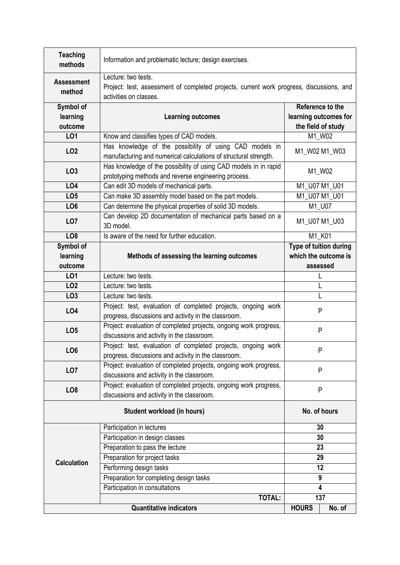| <b>Teaching</b><br>methods       | Information and problematic lecture; design exercises.                                                                                    |                        |  |  |  |  |  |  |
|----------------------------------|-------------------------------------------------------------------------------------------------------------------------------------------|------------------------|--|--|--|--|--|--|
| <b>Assessment</b><br>method      | Lecture: two tests.<br>Project: test, assessment of completed projects, current work progress, discussions, and<br>activities on classes. |                        |  |  |  |  |  |  |
| Symbol of<br>learning<br>outcome | Reference to the<br>learning outcomes for<br><b>Learning outcomes</b><br>the field of study                                               |                        |  |  |  |  |  |  |
| LO1                              | Know and classifies types of CAD models.                                                                                                  | M1_W02                 |  |  |  |  |  |  |
| <b>LO2</b>                       | Has knowledge of the possibility of using CAD models in<br>manufacturing and numerical calculations of structural strength.               | M1_W02 M1_W03          |  |  |  |  |  |  |
| LO <sub>3</sub>                  | Has knowledge of the possibility of using CAD models in in rapid<br>prototyping methods and reverse engineering process.                  | M1_W02                 |  |  |  |  |  |  |
| <b>LO4</b>                       | Can edit 3D models of mechanical parts.                                                                                                   | M1_U07 M1_U01          |  |  |  |  |  |  |
| LO <sub>5</sub>                  | Can make 3D assembly model based on the part models.                                                                                      | M1_U07 M1_U01          |  |  |  |  |  |  |
| LO <sub>6</sub>                  | Can determine the physical properties of solid 3D models.                                                                                 | M1_U07                 |  |  |  |  |  |  |
| LO <sub>7</sub>                  | Can develop 2D documentation of mechanical parts based on a<br>3D model.                                                                  | M1_U07 M1_U03          |  |  |  |  |  |  |
| LO <sub>8</sub>                  | Is aware of the need for further education.                                                                                               | M1_K01                 |  |  |  |  |  |  |
| Symbol of                        |                                                                                                                                           | Type of tuition during |  |  |  |  |  |  |
| learning                         | Methods of assessing the learning outcomes                                                                                                | which the outcome is   |  |  |  |  |  |  |
| outcome                          |                                                                                                                                           | assessed               |  |  |  |  |  |  |
| LO1                              | Lecture: two tests.                                                                                                                       | L                      |  |  |  |  |  |  |
| LO <sub>2</sub>                  | Lecture: two tests.                                                                                                                       | L                      |  |  |  |  |  |  |
| LO <sub>3</sub>                  | Lecture: two tests.                                                                                                                       | L                      |  |  |  |  |  |  |
| LO4                              | Project: test, evaluation of completed projects, ongoing work<br>progress, discussions and activity in the classroom.                     | P                      |  |  |  |  |  |  |
| LO <sub>5</sub>                  | Project: evaluation of completed projects, ongoing work progress,<br>discussions and activity in the classroom.                           | P                      |  |  |  |  |  |  |
| LO <sub>6</sub>                  | Project: test, evaluation of completed projects, ongoing work<br>progress, discussions and activity in the classroom.                     | P                      |  |  |  |  |  |  |
| LO <sub>7</sub>                  | Project: evaluation of completed projects, ongoing work progress,<br>discussions and activity in the classroom.                           | P                      |  |  |  |  |  |  |
| LO <sub>8</sub>                  | Project: evaluation of completed projects, ongoing work progress,<br>discussions and activity in the classroom.                           | P                      |  |  |  |  |  |  |
|                                  | Student workload (in hours)                                                                                                               | No. of hours           |  |  |  |  |  |  |
|                                  | Participation in lectures                                                                                                                 | 30                     |  |  |  |  |  |  |
|                                  | Participation in design classes                                                                                                           | 30                     |  |  |  |  |  |  |
|                                  | Preparation to pass the lecture                                                                                                           | 23                     |  |  |  |  |  |  |
| <b>Calculation</b>               | Preparation for project tasks                                                                                                             | 29                     |  |  |  |  |  |  |
|                                  | Performing design tasks                                                                                                                   | 12                     |  |  |  |  |  |  |
|                                  | Preparation for completing design tasks                                                                                                   | 9                      |  |  |  |  |  |  |
|                                  | Participation in consultations                                                                                                            | 4                      |  |  |  |  |  |  |
|                                  | <b>TOTAL:</b>                                                                                                                             | 137                    |  |  |  |  |  |  |
|                                  | <b>Quantitative indicators</b>                                                                                                            | <b>HOURS</b><br>No. of |  |  |  |  |  |  |